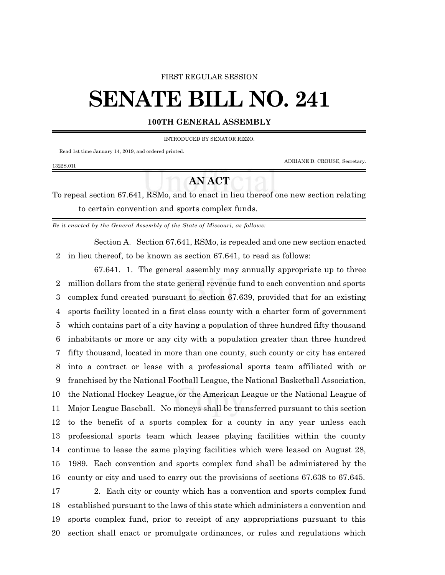### FIRST REGULAR SESSION

# **SENATE BILL NO. 241**

## **100TH GENERAL ASSEMBLY**

### INTRODUCED BY SENATOR RIZZO.

Read 1st time January 14, 2019, and ordered printed.

1322S.01I

ADRIANE D. CROUSE, Secretary.

# **AN ACT**

To repeal section 67.641, RSMo, and to enact in lieu thereof one new section relating to certain convention and sports complex funds.

*Be it enacted by the General Assembly of the State of Missouri, as follows:*

Section A. Section 67.641, RSMo, is repealed and one new section enacted in lieu thereof, to be known as section 67.641, to read as follows:

67.641. 1. The general assembly may annually appropriate up to three million dollars from the state general revenue fund to each convention and sports complex fund created pursuant to section 67.639, provided that for an existing sports facility located in a first class county with a charter form of government which contains part of a city having a population of three hundred fifty thousand inhabitants or more or any city with a population greater than three hundred fifty thousand, located in more than one county, such county or city has entered into a contract or lease with a professional sports team affiliated with or franchised by the National Football League, the National Basketball Association, the National Hockey League, or the American League or the National League of Major League Baseball. No moneys shall be transferred pursuant to this section to the benefit of a sports complex for a county in any year unless each professional sports team which leases playing facilities within the county continue to lease the same playing facilities which were leased on August 28, 1989. Each convention and sports complex fund shall be administered by the county or city and used to carry out the provisions of sections 67.638 to 67.645. 2. Each city or county which has a convention and sports complex fund established pursuant to the laws of this state which administers a convention and sports complex fund, prior to receipt of any appropriations pursuant to this section shall enact or promulgate ordinances, or rules and regulations which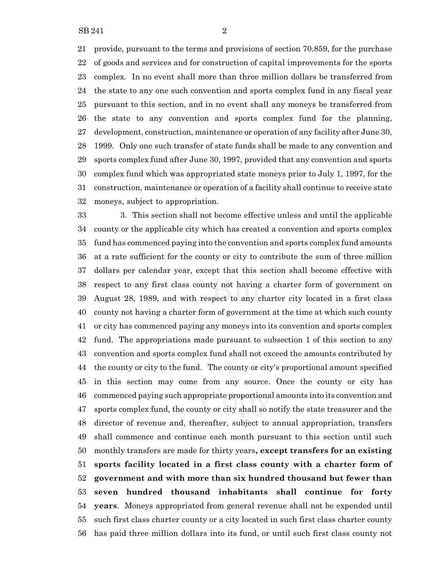provide, pursuant to the terms and provisions of section 70.859, for the purchase of goods and services and for construction of capital improvements for the sports complex. In no event shall more than three million dollars be transferred from the state to any one such convention and sports complex fund in any fiscal year pursuant to this section, and in no event shall any moneys be transferred from the state to any convention and sports complex fund for the planning, development, construction, maintenance or operation of any facility after June 30, 1999. Only one such transfer of state funds shall be made to any convention and sports complex fund after June 30, 1997, provided that any convention and sports complex fund which was appropriated state moneys prior to July 1, 1997, for the construction, maintenance or operation of a facility shall continue to receive state moneys, subject to appropriation.

 3. This section shall not become effective unless and until the applicable county or the applicable city which has created a convention and sports complex fund has commenced paying into the convention and sports complex fund amounts at a rate sufficient for the county or city to contribute the sum of three million dollars per calendar year, except that this section shall become effective with respect to any first class county not having a charter form of government on August 28, 1989, and with respect to any charter city located in a first class county not having a charter form of government at the time at which such county or city has commenced paying any moneys into its convention and sports complex fund. The appropriations made pursuant to subsection 1 of this section to any convention and sports complex fund shall not exceed the amounts contributed by the county or city to the fund. The county or city's proportional amount specified in this section may come from any source. Once the county or city has commenced paying such appropriate proportional amounts into its convention and sports complex fund, the county or city shall so notify the state treasurer and the director of revenue and, thereafter, subject to annual appropriation, transfers shall commence and continue each month pursuant to this section until such monthly transfers are made for thirty years**, except transfers for an existing sports facility located in a first class county with a charter form of government and with more than six hundred thousand but fewer than seven hundred thousand inhabitants shall continue for forty years**. Moneys appropriated from general revenue shall not be expended until such first class charter county or a city located in such first class charter county has paid three million dollars into its fund, or until such first class county not